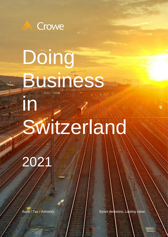

# Doing Business in Switzerland

2021

Audit / Tax / Advisory  $\frac{1}{2}$  / Smart decisions. Lasting value.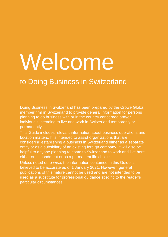# Welcome

## to Doing Business in Switzerland

Doing Business in Switzerland has been prepared by the Crowe Global member firm in Switzerland to provide general information for persons planning to do business with or in the country concerned and/or individuals intending to live and work in Switzerland temporarily or permanently.

This Guide includes relevant information about business operations and taxation matters. It is intended to assist organizations that are considering establishing a business in Switzerland either as a separate entity or as a subsidiary of an existing foreign company. It will also be helpful to anyone planning to come to Switzerland to work and live here either on secondment or as a permanent life choice.

Unless noted otherwise, the information contained in this Guide is believed to be accurate as of 1 January 2021. However, general publications of this nature cannot be used and are not intended to be used as a substitute for professional guidance specific to the reader's particular circumstances.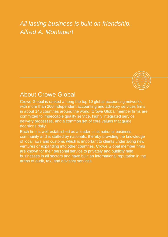*All lasting business is built on friendship. Alfred A. Montapert*



## About Crowe Global

Crowe Global is ranked among the top 10 global accounting networks with more than 200 independent accounting and advisory services firms in about 145 countries around the world. Crowe Global member firms are committed to impeccable quality service, highly integrated service delivery processes, and a common set of core values that guide decisions daily.

Each firm is well-established as a leader in its national business community and is staffed by nationals, thereby providing the knowledge of local laws and customs which is important to clients undertaking new ventures or expanding into other countries. Crowe Global member firms are known for their personal service to privately and publicly held businesses in all sectors and have built an international reputation in the areas of audit, tax, and advisory services.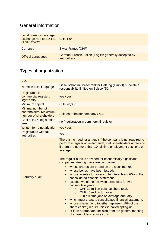## General information

| Local currency, average<br>exchange rate to EUR as CHF 1,04<br>of 31/12/2021 |                                                                        |
|------------------------------------------------------------------------------|------------------------------------------------------------------------|
| Currency                                                                     | Swiss Francs (CHF)                                                     |
| <b>Official Languages</b>                                                    | German, French, Italian (English generally accepted by<br>authorities) |

## Types of organization

| <b>LLC</b>                                                           |                                                                                                                                                                                                                                                                                                                                                                                                                                                                                                                                                                                                                                                                                                                                                                                                                                                                                                                                                                                                                                                               |
|----------------------------------------------------------------------|---------------------------------------------------------------------------------------------------------------------------------------------------------------------------------------------------------------------------------------------------------------------------------------------------------------------------------------------------------------------------------------------------------------------------------------------------------------------------------------------------------------------------------------------------------------------------------------------------------------------------------------------------------------------------------------------------------------------------------------------------------------------------------------------------------------------------------------------------------------------------------------------------------------------------------------------------------------------------------------------------------------------------------------------------------------|
| Name in local language                                               | Gesellschaft mit beschränkter Haftung (GmbH) / Société à<br>responsabilité limitée en Suisse (Sàrl)                                                                                                                                                                                                                                                                                                                                                                                                                                                                                                                                                                                                                                                                                                                                                                                                                                                                                                                                                           |
| Registrable in<br>commercial register /<br>legal entity              | yes / yes                                                                                                                                                                                                                                                                                                                                                                                                                                                                                                                                                                                                                                                                                                                                                                                                                                                                                                                                                                                                                                                     |
| Minimum capital                                                      | CHF 20,000                                                                                                                                                                                                                                                                                                                                                                                                                                                                                                                                                                                                                                                                                                                                                                                                                                                                                                                                                                                                                                                    |
| Minimal number of<br>shareholders/ Maximum<br>number of shareholders | Sole shareholder company / n.a.                                                                                                                                                                                                                                                                                                                                                                                                                                                                                                                                                                                                                                                                                                                                                                                                                                                                                                                                                                                                                               |
| Capital tax / Registration<br>fees                                   | no / registration in commercial register                                                                                                                                                                                                                                                                                                                                                                                                                                                                                                                                                                                                                                                                                                                                                                                                                                                                                                                                                                                                                      |
| Written form/notarization                                            | yes / yes                                                                                                                                                                                                                                                                                                                                                                                                                                                                                                                                                                                                                                                                                                                                                                                                                                                                                                                                                                                                                                                     |
| <b>Registration with tax</b><br>authorities                          | yes                                                                                                                                                                                                                                                                                                                                                                                                                                                                                                                                                                                                                                                                                                                                                                                                                                                                                                                                                                                                                                                           |
| <b>Statutory audit</b>                                               | There is no need for an audit if the company is not required to<br>perform a regular or limited audit, if all shareholders agree and<br>if there are no more than 10 full time employment positions on<br>average.<br>The regular audit is provided for economically significant<br>companies. Among these are companies,<br>whose shares are traded on the stock market,<br>$\bullet$<br>whose bonds have been issued,<br>$\bullet$<br>whose assets / turnover contribute at least 20% to the<br>$\bullet$<br>consolidated financial statement,<br>exceed two of the following thresholds for two<br>$\bullet$<br>consecutive years:<br>CHF 20 million balance sheet total,<br>$\Omega$<br>$\circ$ CHF 40 million turnover,<br>250 full-time jobs on average annually,<br>$\circ$<br>which must create a consolidated financial statement,<br>whose shares (who together represent 10% of the<br>$\bullet$<br>share capital) require this (so-called opting-up),<br>or if an appropriate decision from the general meeting<br>of shareholders requires this. |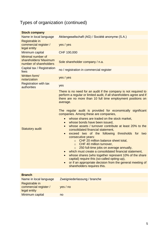## Types of organization (continued)

| <b>Stock company</b>                                                 |                                                                                                                                                                                                                                                                                                                                                                                                                                                                                                                                                                                                                                                                                                                                                                                                                                                                                                                                                                                                                                                                 |
|----------------------------------------------------------------------|-----------------------------------------------------------------------------------------------------------------------------------------------------------------------------------------------------------------------------------------------------------------------------------------------------------------------------------------------------------------------------------------------------------------------------------------------------------------------------------------------------------------------------------------------------------------------------------------------------------------------------------------------------------------------------------------------------------------------------------------------------------------------------------------------------------------------------------------------------------------------------------------------------------------------------------------------------------------------------------------------------------------------------------------------------------------|
| Name in local language                                               | Aktiengesellschaft (AG) / Société anonyme (S.A.)                                                                                                                                                                                                                                                                                                                                                                                                                                                                                                                                                                                                                                                                                                                                                                                                                                                                                                                                                                                                                |
| Registrable in<br>commercial register /<br>legal entity              | yes / yes                                                                                                                                                                                                                                                                                                                                                                                                                                                                                                                                                                                                                                                                                                                                                                                                                                                                                                                                                                                                                                                       |
| Minimum capital                                                      | CHF 100,000                                                                                                                                                                                                                                                                                                                                                                                                                                                                                                                                                                                                                                                                                                                                                                                                                                                                                                                                                                                                                                                     |
| Minimal number of<br>shareholders/ Maximum<br>number of shareholders | Sole shareholder company / n.a.                                                                                                                                                                                                                                                                                                                                                                                                                                                                                                                                                                                                                                                                                                                                                                                                                                                                                                                                                                                                                                 |
| Capital tax / Registration<br>fees                                   | no / registration in commercial register                                                                                                                                                                                                                                                                                                                                                                                                                                                                                                                                                                                                                                                                                                                                                                                                                                                                                                                                                                                                                        |
| Written form/<br>notarization                                        | yes / yes                                                                                                                                                                                                                                                                                                                                                                                                                                                                                                                                                                                                                                                                                                                                                                                                                                                                                                                                                                                                                                                       |
| <b>Registration with tax</b><br>authorities                          | yes                                                                                                                                                                                                                                                                                                                                                                                                                                                                                                                                                                                                                                                                                                                                                                                                                                                                                                                                                                                                                                                             |
| <b>Statutory audit</b>                                               | There is no need for an audit if the company is not required to<br>perform a regular or limited audit, if all shareholders agree and if<br>there are no more than 10 full time employment positions on<br>average.<br>The regular audit is provided for economically significant<br>companies. Among these are companies,<br>whose shares are traded on the stock market,<br>$\bullet$<br>whose bonds have been issued,<br>$\bullet$<br>whose assets / turnover contribute at least 20% to the<br>$\bullet$<br>consolidated financial statement,<br>exceed two of the following thresholds for two<br>$\bullet$<br>consecutive years:<br>CHF 20 million balance sheet total,<br>$\circ$<br>CHF 40 million turnover,<br>$\circ$<br>250 full-time jobs on average annually,<br>$\circ$<br>which must create a consolidated financial statement,<br>whose shares (who together represent 10% of the share<br>$\bullet$<br>capital) require this (so-called opting-up),<br>or if an appropriate decision from the general meeting of<br>shareholders requires this. |
| <b>Branch</b>                                                        |                                                                                                                                                                                                                                                                                                                                                                                                                                                                                                                                                                                                                                                                                                                                                                                                                                                                                                                                                                                                                                                                 |
| Name in local language                                               | Zweigniederlassung / branche                                                                                                                                                                                                                                                                                                                                                                                                                                                                                                                                                                                                                                                                                                                                                                                                                                                                                                                                                                                                                                    |
| Registrable in<br>commercial register /<br>legal entity              | yes / no                                                                                                                                                                                                                                                                                                                                                                                                                                                                                                                                                                                                                                                                                                                                                                                                                                                                                                                                                                                                                                                        |
| Minimum capital                                                      | no                                                                                                                                                                                                                                                                                                                                                                                                                                                                                                                                                                                                                                                                                                                                                                                                                                                                                                                                                                                                                                                              |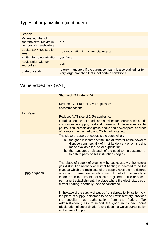## Types of organization (continued)

| <b>Branch</b>                                                        |                                                                                                                      |
|----------------------------------------------------------------------|----------------------------------------------------------------------------------------------------------------------|
| Minimal number of<br>shareholders/ Maximum<br>number of shareholders | n/a                                                                                                                  |
| Capital tax / Registration<br>fees                                   | no / registration in commercial register                                                                             |
| Written form/notarization                                            | yes / yes                                                                                                            |
| <b>Registration with tax</b><br><b>authorities</b>                   | yes                                                                                                                  |
| Statutory audit                                                      | Is only mandatory if the parent company is also audited, or for<br>very large branches that meet certain conditions. |

## Value added tax (VAT)

| <b>Tax Rates</b> | Standard VAT rate: 7,7%                                                                                                                                                                                                                                                                                                                                                                                                                                          |
|------------------|------------------------------------------------------------------------------------------------------------------------------------------------------------------------------------------------------------------------------------------------------------------------------------------------------------------------------------------------------------------------------------------------------------------------------------------------------------------|
|                  | Reduced VAT rate of 3.7% applies to:<br>accommodations                                                                                                                                                                                                                                                                                                                                                                                                           |
|                  | Reduced VAT rate of 2.5% applies to:<br>certain categories of goods and services for certain basic needs<br>such as water supply, food and non-alcoholic beverages, cattle,<br>poultry, fish, cereals and grain, books and newspapers, services<br>of non-commercial radio and TV broadcasts, etc.                                                                                                                                                               |
| Supply of goods  | The place of supply of goods is the place where:<br>a. the good is located at the time of transfer of the power to<br>dispose commercially of it, of its delivery or of its being<br>made available for use or exploitation;<br>b. the transport or dispatch of the good to the customer or<br>to a third party on his instructions begins.                                                                                                                      |
|                  | The place of supply of electricity by cable, gas via the natural<br>gas distribution network or district heating is deemed to be the<br>place at which the recipients of the supply have their registered<br>office or a permanent establishment for which the supply is<br>made, or, in the absence of such a registered office or such a<br>permanent establishment, the place where the electricity, gas or<br>district heating is actually used or consumed. |
|                  | In the case of the supply of a good from abroad to Swiss territory,<br>the place of supply is deemed to be on Swiss territory, provided<br>the supplier:<br>has authorisation from the Federal<br>Tax<br>Administration (FTA) to import the good in its own name<br>(declaration of subordination), and does not waive authorisation<br>at the time of import.                                                                                                   |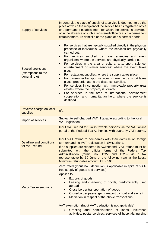| <b>Supply of services</b>                                        | In general, the place of supply of a service is deemed, to be the<br>place at which the recipient of the service has its registered office<br>or a permanent establishment for which the service is provided,<br>or in the absence of such a registered office or such a permanent<br>establishment, its domicile or the place of his normal abode.                                                                                                                                                                                                                                                                                                                                                                                                                                                                                                                                           |
|------------------------------------------------------------------|-----------------------------------------------------------------------------------------------------------------------------------------------------------------------------------------------------------------------------------------------------------------------------------------------------------------------------------------------------------------------------------------------------------------------------------------------------------------------------------------------------------------------------------------------------------------------------------------------------------------------------------------------------------------------------------------------------------------------------------------------------------------------------------------------------------------------------------------------------------------------------------------------|
| <b>Special provisions</b><br>(exemptions to the<br>general rule) | For services that are typically supplied directly in the physical<br>$\bullet$<br>presence of individuals: where the services are physically<br>carried out.<br>For services supplied by travel agencies and event<br>organisers: where the services are physically carried out.<br>For services in the area of culture, arts, sport, science,<br>$\bullet$<br>entertainment or similar services: where the event takes<br>place.<br>For restaurant supplies: where the supply takes place.<br>$\bullet$<br>For passenger transport services: where the transport takes<br>place, proportionate to the distance travelled.<br>For services in connection with immovable property (real<br>$\bullet$<br>estate): where the property is situated.<br>For services in the area of international development<br>$\bullet$<br>cooperation and humanitarian help: where the service is<br>destined. |
| Reverse charge on local<br>supplies                              | n/a                                                                                                                                                                                                                                                                                                                                                                                                                                                                                                                                                                                                                                                                                                                                                                                                                                                                                           |
| Import of services                                               | Subject to self-charged VAT, if taxable according to the local<br><b>VAT legislation</b>                                                                                                                                                                                                                                                                                                                                                                                                                                                                                                                                                                                                                                                                                                                                                                                                      |
| <b>Deadline and conditions</b><br>for VAT refund                 | Input VAT refund for Swiss taxable persons via the VAT online<br>portal of the Federal Tax Authorities with quarterly VAT returns.<br>Input VAT refund to companies with their domicile on foreign<br>territory and no VAT registration in Switzerland.<br>If no supplies are rendered in Switzerland, VAT refund must be<br>submitted with the official forms of the Federal Tax<br>Administration (forms. no. 1222 and 1223) via a tax<br>representative by 30 June of the following year at the latest.<br>Minimum refundable amount: CHF 500.                                                                                                                                                                                                                                                                                                                                             |
| <b>Major Tax exemptions</b>                                      | Zero rated (Input VAT deduction is applicable in spite of VAT-<br>free supply of goods and services)<br>Applies to:<br><b>Exports of goods</b><br>$\bullet$<br>Leasing and chartering of goods, predominantly used<br>$\bullet$<br>abroad<br>Cross-border transportation of goods<br>$\bullet$<br>Cross-border passenger transport by boat and aircraft<br>$\bullet$<br>Mediation in respect of the above transactions<br>$\bullet$<br>VAT exemption (Input VAT deduction is not applicable)<br>Granting and administration of loans, insurance<br>activities, postal services, services of hospitals, nursing                                                                                                                                                                                                                                                                                |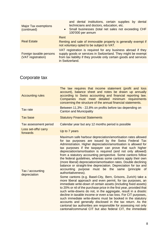| <b>Major Tax exemptions</b><br>(continued)    | and dental institutions, certain supplies by dental<br>technicians and doctors, education, etc.<br>Small businesses (total net sales not exceeding CHF<br>$\bullet$<br>100'000 per annum                               |
|-----------------------------------------------|------------------------------------------------------------------------------------------------------------------------------------------------------------------------------------------------------------------------|
| <b>Real Estate</b>                            | Rent<br>Renting and sale of immovable property is generally exempt if<br>not voluntary opted to be subject to VAT.                                                                                                     |
| Foreign taxable persons<br>(VAT registration) | VAT registration is required for any business abroad if they<br>supply goods or services in Switzerland. They might be exempt<br>from tax liability if they provide only certain goods and services<br>in Switzerland. |

## Corporate tax

| <b>Accounting rules</b>          | The law requires that income statement (profit and loss<br>account), balance sheet and notes be drawn up annually<br>according to Swiss accounting and financial reporting law.<br>Companies must meet detailed minimum requirements<br>concerning the structure of the annual financial statements.                                                                                                                                                                                                                                                                                                                                                                                                                                                                                                                                                                                                                                                                                                                                                                                                                                                                                                                                                                                                                                             |
|----------------------------------|--------------------------------------------------------------------------------------------------------------------------------------------------------------------------------------------------------------------------------------------------------------------------------------------------------------------------------------------------------------------------------------------------------------------------------------------------------------------------------------------------------------------------------------------------------------------------------------------------------------------------------------------------------------------------------------------------------------------------------------------------------------------------------------------------------------------------------------------------------------------------------------------------------------------------------------------------------------------------------------------------------------------------------------------------------------------------------------------------------------------------------------------------------------------------------------------------------------------------------------------------------------------------------------------------------------------------------------------------|
| <b>Tax rate</b>                  | Between 11,3% - 22,8% on profits before tax depending on<br><b>Canton and Municipality</b>                                                                                                                                                                                                                                                                                                                                                                                                                                                                                                                                                                                                                                                                                                                                                                                                                                                                                                                                                                                                                                                                                                                                                                                                                                                       |
| Tax base                         | <b>Statutory Financial Statements</b>                                                                                                                                                                                                                                                                                                                                                                                                                                                                                                                                                                                                                                                                                                                                                                                                                                                                                                                                                                                                                                                                                                                                                                                                                                                                                                            |
| Tax assessment period            | Calendar year but any 12 months period is possible                                                                                                                                                                                                                                                                                                                                                                                                                                                                                                                                                                                                                                                                                                                                                                                                                                                                                                                                                                                                                                                                                                                                                                                                                                                                                               |
| Loss set-offs/ carry<br>forwards | Up to 7 years                                                                                                                                                                                                                                                                                                                                                                                                                                                                                                                                                                                                                                                                                                                                                                                                                                                                                                                                                                                                                                                                                                                                                                                                                                                                                                                                    |
| Tax / accounting<br>depreciation | Maximum safe harbour depreciation/amortisation rates allowed<br>for tax purposes are issued by the Swiss Federal Tax<br>Administration. Higher depreciation/amortisation is allowed for<br>tax purposes if the taxpayer can prove that such higher<br>depreciation/amortisation is required (and not only allowed)<br>from a statutory accounting perspective. Some cantons follow<br>the federal guidelines, whereas some cantons apply their own<br>(more liberal) depreciation/amortisation rates. Double declining<br>balance or straight-line depreciation. Depreciation for tax and<br>accounting purpose must be the same (principle of<br>authoritativeness).<br>Some cantons (e.g. Basel-City, Bern, Grisons, Zurich) take a<br>more liberal approach and even permit, for tax purposes, an<br>immediate write-down of certain assets (including fixed assets)<br>to 20% or nil of the purchase price in the first year, provided that<br>such write-downs do not, in the aggregate, result in a drastic<br>decline in taxable income or even a tax loss. For CIT purposes,<br>such immediate write-downs must be booked in the statutory<br>accounts and generally disclosed in the tax return. As the<br>cantonal tax authorities are responsible for assessing not only<br>cantonal/communal CIT but also federal CIT, the immediate |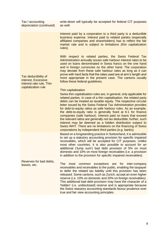Tax / accounting depreciation (continued) write-down will typically be accepted for federal CIT purposes as well.

Interest paid by a corporation to a third party is a deductible business expense. Interest paid to related parties (especially affiliated companies and shareholders) has to reflect the fair market rate and is subject to limitations (thin capitalization rules).

With respect to related parties, the Swiss Federal Tax Administration annually issues safe harbour interest rates to be used on loans denominated in Swiss francs on the one hand and in foreign currencies on the other hand. The corporation may deviate from these safe harbour rates as long as it can prove with hard facts that the rates used are at arm's length and more appropriate in the present case. The cantons usually follow these federal guidelines.

#### Thin capitalisation

Swiss thin capitalisation rules are, in general, only applicable for related parties. In case of a thin capitalisation, the related party debts can be treated as taxable equity. The respective circular letter issued by the Swiss Federal Tax Administration provides for debt-to-equity ratios as safe harbour rules. As an example, the debt-to-equity ratio is generally fixed at 6:1 for finance companies (safe harbour). Interest paid on loans that exceed the relevant ratios are generally not tax deductible; further, such interest may be deemed as a hidden distribution subject to Swiss WHT. There are no limitations on the financing of Swiss corporations by independent third parties (e.g. banks).

Based on a longstanding practice in Switzerland, it is admissible to set up a statutory accounting provision for specific impaired receivables, which will be accepted for CIT purposes. Unlike most other countries, it is also possible to account for an additional ('lump sum') bad debt provision of 5% on most domestic and 10% on most foreign receivables (i.e. a provision in addition to the provision for specific impaired receivables).

The most common exceptions are for inter-company receivables and receivables to the public, enabling the taxpayer to defer the related tax liability until this provision has been released. Some cantons, such as Zurich, accept an even higher reserve (i.e. 10% on domestic and 20% on foreign receivables). This additional bad debt provision may have the character of a 'hidden' (i.e. undisclosed) reserve and is appropriate because the Swiss statutory accounting standards favour prudence over true and fair view accounting principles.

Tax deductibility of interest, Excessive interest rate rule, Thin capitalization rule

Reserves for bad debts, leaves, etc.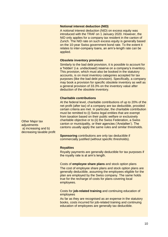#### **Notional interest deduction (NID)**

A notional interest deduction (NID) on excess equity was introduced with the TRAF on 1 January 2020. However, the NID only applies for a company tax resident in the canton of Zurich. The NID rate on such excess equity is generally based on the 10-year Swiss government bond rate. To the extent it relates to inter-company loans, an arm's-length rate can be applied.

#### **Obsolete inventory provision**

Similarly to the bad debt provision, it is possible to account for a 'hidden' (i.e. undisclosed) reserve on a company's inventory. This provision, which must also be booked in the statutory accounts, is on most inventory categories accepted for tax purposes (like the bad debt provision). Specifically, a company may book a provision for specific obsolete inventory as well as a general provision of 33.3% on the inventory value after deduction of the obsolete inventory.

#### **Charitable contributions**

At the federal level, charitable contributions of up to 20% of the net profit (after tax) of a company are tax deductible, provided certain criteria are met. In particular, the charitable contribution must be remitted to (i) Swiss legal entities that are exempt from taxation based on their public welfare or exclusively charitable objective or to (ii) the Swiss Federation, a Swiss canton or municipality, or their agencies ('Anstalten'). The cantons usually apply the same rules and similar thresholds.

**Sponsoring** contributions are only tax deductible if commercially justified (without specific thresholds).

#### **Royalties**

Royalty payments are generally deductible for tax purposes if the royalty rate is at arm's length.

Costs of **employee share plans** and stock option plans The cost of employee share plans and stock option plans are generally deductible, assuming the employees eligible for the plan are employed by the Swiss company. The same holds true for the recharge of costs for plans covering local employees.

Costs for **job-related training** and continuing education of employees

As far as they are recognised as an expense in the statutory books, costs incurred for job-related training and continuing education of employees are generally tax deductible.

Other Major tax adiustments a) increasing and b) decreasing taxable profit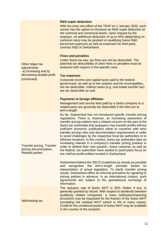#### **R&D super deduction**

With the entry into effect of the TRAF on 1 January 2020, each canton has the option to introduce an R&D super deduction at the cantonal and communal levels. Upon request by the taxpayer, an additional deduction of up to 50% (depending on cantonal rules) may be granted on qualifying Swiss R&D personnel expenses as well as expenses for third party contract R&D in Switzerland.

#### **Fines and penalties**

Under Swiss tax law, tax fines are not tax deductible. The potential tax deductibility of other fines or penalties must be analysed with respect to the specific case.

#### **Tax expenses**

Corporate income and capital taxes paid to the federal government, as well as to the cantons and the municipalities, are tax deductible. Indirect taxes (e.g. real estate transfer tax) are tax deductible as well.

#### **Payments to foreign affiliates**

Management and service fees paid by a Swiss company to a related party are generally tax deductible if the fees are at arm's length.

So far, Switzerland has not introduced specific transfer pricing regulations. There is, however, an increasing awareness of transfer pricing matters and a related concern on the part of the Swiss tax authorities that taxpayers may transfer profits without sufficient economic justification either to countries with strict transfer pricing rules and documentation requirements in order to avoid challenges by the respective local tax authorities or to offshore locations. In this context, Swiss tax authorities take an increasing interest in a company's transfer pricing position in order to defend their own position. Some cantonal, as well as the federal, tax authorities have started to particularly focus on low risk/low profit entities located in Switzerland.

Switzerland follows the OECD Guidelines as closely as possible and recognises the arm's-length principle based on interpretation of actual legislation. To clarify transfer pricing issues, Switzerland offers an informal procedure for agreeing to pricing policies in advance. In an international context, such agreements are subject to the spontaneous exchange of information.

The statutory rate of Swiss WHT is 35%. Relief, if any, is generally granted by refund. With respect to dividends between qualifying related companies, a mere notification/reporting procedure may be requested for the fraction of the Swiss WHT exceeding the residual WHT (which is 0% in many cases). Credit for the unrelieved portion of Swiss WHT may be available in the country of the recipient.

Other Major tax adjustments a) increasing and b) decreasing taxable profit (continued)

Transfer pricing, Transfer pricing documentation, Related parties

Withholding tax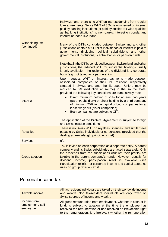|                                       | In Switzerland, there is no WHT on interest deriving from regular<br>loan agreements. Swiss WHT of 35% is only levied on interest<br>paid by banking institutions (or paid by entities tax-wise qualified<br>as 'banking institutions') to non-banks, interest on bonds, and<br>interest on bond-like loans.                                                                                                                                                                                                                                                                                                                                                                    |
|---------------------------------------|---------------------------------------------------------------------------------------------------------------------------------------------------------------------------------------------------------------------------------------------------------------------------------------------------------------------------------------------------------------------------------------------------------------------------------------------------------------------------------------------------------------------------------------------------------------------------------------------------------------------------------------------------------------------------------|
| <b>Withholding tax</b><br>(continued) | Many of the DTTs concluded between Switzerland and other<br>jurisdictions contain a full relief if dividends or interest is paid to<br>governments (including political subdivisions and other<br>governmental institutions), central banks, or pension funds.                                                                                                                                                                                                                                                                                                                                                                                                                  |
|                                       | Note that in the DTTs concluded between Switzerland and other<br>jurisdictions, the reduced WHT for substantial holdings usually<br>is only available if the recipient of the dividend is a corporate<br>body (e.g. not taxed as a partnership).                                                                                                                                                                                                                                                                                                                                                                                                                                |
| <b>Interest</b>                       | Upon request, WHT on interest payments made between<br>associated companies or their PE resident, respectively<br>situated in Switzerland and the European Union, may be<br>reduced to 0% (reduction at source) in the source state,<br>provided the following key conditions are cumulatively met:<br>Direct minimum holding of 25% for at least two years<br>$\bullet$<br>(parent/subsidiary) or direct holding by a third company<br>of minimum 25% in the capital of both companies for at<br>least two years (sister companies).<br>Both companies are subject to CIT.<br>The application of the Bilateral Agreement is subject to foreign<br>and Swiss misuse conditions. |
| <b>Royalties</b>                      | There is no Swiss WHT on royalties, licences, and similar fees<br>payable by Swiss individuals or corporations (provided that the<br>dealing at arm's-length principle is met).                                                                                                                                                                                                                                                                                                                                                                                                                                                                                                 |
| <b>Services</b>                       | n/a                                                                                                                                                                                                                                                                                                                                                                                                                                                                                                                                                                                                                                                                             |
| <b>Group taxation</b>                 | Tax is levied on each corporation as a separate entity. A parent<br>company and its Swiss subsidiaries are taxed separately. Only<br>the dividends from the subsidiaries (but not their profits) are<br>taxable in the parent company's hands. However, usually for<br>income, participation relief is available<br>dividend<br>(see<br>Participation relief). For corporate income and capital taxes, no<br>rules on group taxation exist.                                                                                                                                                                                                                                     |

## Personal income taх

| Taxable income                                | All tax-resident individuals are taxed on their worldwide income<br>and wealth. Non tax-resident individuals are only taxed on<br>Swiss sources of income and wealth.                                                                                          |
|-----------------------------------------------|----------------------------------------------------------------------------------------------------------------------------------------------------------------------------------------------------------------------------------------------------------------|
| Income from<br>employment/self-<br>employment | All gross remuneration from employment, whether in cash or in<br>kind, is subject to taxation at the time the employee has<br>received the remuneration or has received an irrevocable right<br>to the remuneration. It is irrelevant whether the remuneration |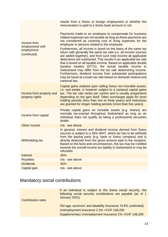|                                                               | results from a Swiss or foreign employment or whether the<br>remuneration is paid to a Swiss bank account or not.                                                                                                                                                                                                                                                                                                                                                                                                                                                                                                         |
|---------------------------------------------------------------|---------------------------------------------------------------------------------------------------------------------------------------------------------------------------------------------------------------------------------------------------------------------------------------------------------------------------------------------------------------------------------------------------------------------------------------------------------------------------------------------------------------------------------------------------------------------------------------------------------------------------|
| Income from<br>employment/ self-<br>employment<br>(continued) | Payments made to an employee to compensate for business<br>related expenses are not taxable as long as these payments are<br>not considered as covering cost of living expenses for the<br>employee or persons related to the employee.                                                                                                                                                                                                                                                                                                                                                                                   |
|                                                               | Furthermore, all income is taxed on the basis of the same tax<br>return with generally the same tax rate (i.e. all income sources<br>are added together), and from such total income all applicable<br>deductions are subtracted. This results in an applicable tax rate<br>that is levied on all taxable income. Based on applicable double<br>taxation treaties (DTTs), the actual taxable income in<br>Switzerland may differ from the tax rate determining income.<br>Furthermore, dividend income from substantial participations<br>may be taxed at a lower tax rate based on domestic federal and<br>cantonal law. |
| Income from property and<br>property rights                   | Capital gains realised upon selling Swiss non-movable assets,<br>i.e. real estate, is however subject to a cantonal capital gains<br>tax. The tax rate varies per canton and is usually progressive<br>depending on the gain itself. Often surcharges apply for short<br>holding periods (less than two to three years) and reductions<br>are granted for longer holding periods (more than five years).                                                                                                                                                                                                                  |
| Income from capital                                           | Private capital gains on movable assets (e.g. shares) are<br>normally tax-exempt throughout Switzerland as long as an<br>individual does not qualify as being a professional securities<br>dealer.                                                                                                                                                                                                                                                                                                                                                                                                                        |
| Other income                                                  | $n/a$ - see above                                                                                                                                                                                                                                                                                                                                                                                                                                                                                                                                                                                                         |
| Withholding tax                                               | In general, interest and dividend income derived from Swiss<br>sources is subject to a 35% WHT, which tax has to be withheld<br>from the paying party (e.g. bank or Swiss company) and is<br>directly deducted from the gross amount paid to the recipient.<br>Based on the facts and circumstances, this tax may be credited<br>towards the overall income tax liability in Switzerland or may be<br>refunded.                                                                                                                                                                                                           |
| <b>Interest</b>                                               | 35%                                                                                                                                                                                                                                                                                                                                                                                                                                                                                                                                                                                                                       |
| <b>Royalties</b>                                              | n/a - see above                                                                                                                                                                                                                                                                                                                                                                                                                                                                                                                                                                                                           |
| <b>Dividends</b>                                              | 35%                                                                                                                                                                                                                                                                                                                                                                                                                                                                                                                                                                                                                       |
| Capital gain                                                  | n/a - see above                                                                                                                                                                                                                                                                                                                                                                                                                                                                                                                                                                                                           |

## Mandatory social contributions

| <b>Contribution rates</b> | If an individual is subject to the Swiss social security, the<br>following social security contributions are payable (as of 1<br><b>January 2021):</b>                          |
|---------------------------|---------------------------------------------------------------------------------------------------------------------------------------------------------------------------------|
|                           | Old age, survivors' and disability insurance 10.6% (unlimited)<br>Unemployment Insurance 2.2% <chf 148,200<br="">Supplementary Unemployment Insurance 1% &gt; CHF 148,200</chf> |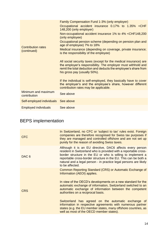| <b>Contribution rates</b><br>(continued) | Family Compensation Fund 1-3% (only employer)<br>Occupational accident insurance 0.17% to 1.35% <chf<br>148,200 (only employer)<br/>Non-occupational accident insurance 1% to 4% <chf148,200<br>(only employee)<br/>Occupational pension scheme (depending on pension plan and<br/>age of employee) 7% to 18%<br/>Medical insurance (depending on coverage, private insurance;<br/>is the responsibility of the employee)<br/>All social security taxes (except for the medical insurance) are<br/>the employer's responsibility. The employer must withhold and<br/>remit the total deduction and deducts the employee's share from<br/>his gross pay (usually 50%).<br/>If the individual is self-employed, they basically have to cover<br/>the employer's and the employee's share, however different<br/>contribution rates may be applicable.</chf148,200<br></chf<br> |
|------------------------------------------|------------------------------------------------------------------------------------------------------------------------------------------------------------------------------------------------------------------------------------------------------------------------------------------------------------------------------------------------------------------------------------------------------------------------------------------------------------------------------------------------------------------------------------------------------------------------------------------------------------------------------------------------------------------------------------------------------------------------------------------------------------------------------------------------------------------------------------------------------------------------------|
| Minimum and maximum<br>contribution      | See above                                                                                                                                                                                                                                                                                                                                                                                                                                                                                                                                                                                                                                                                                                                                                                                                                                                                    |
| Self-employed individuals                | See above                                                                                                                                                                                                                                                                                                                                                                                                                                                                                                                                                                                                                                                                                                                                                                                                                                                                    |
| <b>Employed individuals</b>              | See above                                                                                                                                                                                                                                                                                                                                                                                                                                                                                                                                                                                                                                                                                                                                                                                                                                                                    |

## BEPS implementation

| <b>CFC</b>       | In Switzerland, no CFC or 'subject to tax' rules exist. Foreign<br>companies are therefore recognised for Swiss tax purposes if<br>they are managed and controlled offshore and are not set up<br>purely for the reason of avoiding Swiss taxes.                                                                                                        |
|------------------|---------------------------------------------------------------------------------------------------------------------------------------------------------------------------------------------------------------------------------------------------------------------------------------------------------------------------------------------------------|
| DAC <sub>6</sub> | Although it is an EU directive, DAC6 affects every person<br>resident in Switzerland who is provided with a reportable cross-<br>border structure in the EU or who is willing to implement a<br>reportable cross-border structure in the EU. This can be both a<br>natural and a legal person - in practice legal persons are likely<br>to be affected. |
| <b>CRS</b>       | Common Reporting Standard (CRS) or Automatic Exchange of<br>Information (AEOI) applies.<br>In view of the OECD's developments on a new standard for the<br>automatic exchange of information, Switzerland switched to an<br>automatic exchange of information between the competent<br>authorities on a reciprocal basis.                               |
|                  | Switzerland has agreed on the automatic exchange of<br>information in respective agreements with numerous partner<br>states (e.g. the EU member states, many offshore countries, as<br>well as most of the OECD member states).                                                                                                                         |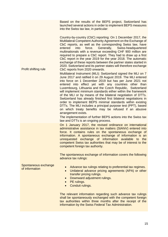Based on the results of the BEPS project, Switzerland has launched several actions in order to implement BEPS measures into the Swiss tax law, in particular:

Country-by-country (CbC) reporting: On 1 December 2017, the Multilateral Competent Authority Agreement on the Exchange of CbC reports, as well as the corresponding Swiss law, have entered into force. Generally, Swiss-headquartered multinationals with a revenue exceeding CHF 900 million are required to prepare a CbC report. They had to draw up a first CbC report in the year 2019 for the year 2018. The automatic exchange of these reports between the partner states started in 2020. Switzerland and its partner states will therefore exchange CbC reports from 2020 onwards.

Multilateral Instrument (MLI): Switzerland signed the MLI on 7 June 2017 and ratified it on 29 August 2019. The MLI entered into force on 1 December 2019 but has per June 2021 not entered into effect yet with any countries other than Luxembourg, Lithuania and the Czech Republic, Switzerland will implement minimum standards either within the framework of the MLI or by means of the bilateral negotiation of DTTs. Switzerland has already finished first bilateral negotiations in order to implement BEPS minimal standards within existing DTTs. The MLI includes a principal purpose test (PPT), based on which treaty benefits may be refused if an abusive arrangement exists.

The implementation of further BEPS actions into the Swiss tax law and DTTs is an ongoing process.

On 1 January 2017, the revised ordinance on international administrative assistance in tax matters (StAhiV) entered into force. It contains rules on the spontaneous exchange of information. A spontaneous exchange of information is an unrequested exchange of information available to the competent Swiss tax authorities that may be of interest to the competent foreign tax authority.

The spontaneous exchange of information covers the following advance tax rulings:

Spontaneous exchange of information

Profit shifting rule

- Advance tax rulings relating to preferential tax regimes.
- Unilateral advance pricing agreements (APA) or other transfer pricing rulings.
- Downward adjustment rulings.
- PE rulings.
- Conduit rulings.

The relevant information regarding such advance tax rulings shall be spontaneously exchanged with the competent foreign tax authorities within three months after the receipt of the information by the Swiss Federal Tax Administration.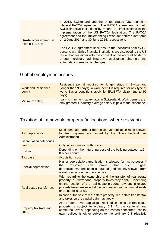| GAAR/ other anti-abuse<br>rules (PPT, etc) | In 2013, Switzerland and the United States (US) signed a<br>bilateral FATCA agreement. The FATCA agreement will help<br>Swiss financial institutions by means of simplifications in the<br>implementation of the US FATCA legislation. The FATCA<br>agreement and the implementing Swiss act entered into force<br>on 2 June 2014 and 30 June 2014, respectively. |  |  |
|--------------------------------------------|-------------------------------------------------------------------------------------------------------------------------------------------------------------------------------------------------------------------------------------------------------------------------------------------------------------------------------------------------------------------|--|--|
|                                            | The FATCA agreement shall ensure that accounts held by US<br>persons with Swiss financial institutions are disclosed to the US<br>tax authorities either with the consent of the account holder or<br>through ordinary administrative assistance channels (no<br>automatic information exchange).                                                                 |  |  |

## Global employment issues

| <b>Work and Residence</b><br>permit | Residence permit required for longer stays in Switzerland<br>(longer than 90 days). A work permit is required for any type of<br>work. Easier conditions apply for EU/EFTA citizen (up to 90<br>days). |
|-------------------------------------|--------------------------------------------------------------------------------------------------------------------------------------------------------------------------------------------------------|
| Minimum salary                      | n/a - no minimum salary laws in Switzerland. Work permits are<br>only granted if industry-average salary is paid to the secondee.                                                                      |

## Taxation of immovable property (in locations where relevant)

| Tax depreciation                | Maximum safe harbour depreciation/amortisation rates allowed<br>for tax purposes are issued by the Swiss Federal Tax<br>Administration                                                                                                                                                                                                                                                                             |  |  |  |  |
|---------------------------------|--------------------------------------------------------------------------------------------------------------------------------------------------------------------------------------------------------------------------------------------------------------------------------------------------------------------------------------------------------------------------------------------------------------------|--|--|--|--|
| <b>Depreciation categories</b>  |                                                                                                                                                                                                                                                                                                                                                                                                                    |  |  |  |  |
| Land                            | Only in combination with building                                                                                                                                                                                                                                                                                                                                                                                  |  |  |  |  |
| <b>Building</b>                 | Depending on the nature, purpose of the building between 1,5 -<br>8% per annum                                                                                                                                                                                                                                                                                                                                     |  |  |  |  |
| Tax base                        | <b>Acquisition cost</b>                                                                                                                                                                                                                                                                                                                                                                                            |  |  |  |  |
| Special depreciation            | Higher depreciation/amortisation is allowed for tax purposes if<br>that<br>such<br>can<br>prove<br>higher<br>the<br>taxpayer<br>depreciation/amortisation is required (and not only allowed) from<br>a statutory accounting perspective                                                                                                                                                                            |  |  |  |  |
| Real estate transfer tax        | With regard to the ownership and the transfer of real estate<br>property in Switzerland, property taxes may apply. Depending<br>on the location of the real estate property, ownership-related<br>property taxes are levied at the cantonal and/or communal levels<br>or do not exist at all.<br>In case of the sale of real estate property, real estate transfer tax<br>and taxes on the capital gain may apply. |  |  |  |  |
| Property tax (rate and<br>base) | At the federal level, capital gain realised on the sale of real estate<br>property is subject to ordinary CIT. At the cantonal and<br>communal levels, depending on the canton concerned, capital<br>gain realised is either subject to the ordinary CIT (dualistic                                                                                                                                                |  |  |  |  |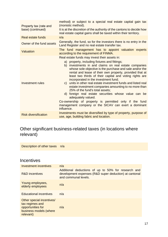| method) or subject to a special real estate capital gain tax<br>(monistic method).<br>It is at the discretion of the authority of the cantons to decide how<br>real estate capital gains shall be taxed within their territory.                                                                                                                                                                                                                                                                                                                                                                                                                                                                                                                                |  |  |  |  |
|----------------------------------------------------------------------------------------------------------------------------------------------------------------------------------------------------------------------------------------------------------------------------------------------------------------------------------------------------------------------------------------------------------------------------------------------------------------------------------------------------------------------------------------------------------------------------------------------------------------------------------------------------------------------------------------------------------------------------------------------------------------|--|--|--|--|
| n/a                                                                                                                                                                                                                                                                                                                                                                                                                                                                                                                                                                                                                                                                                                                                                            |  |  |  |  |
| Generally, the fund, so for the investors there is no entry in the<br>Land Register and no real estate transfer tax.                                                                                                                                                                                                                                                                                                                                                                                                                                                                                                                                                                                                                                           |  |  |  |  |
| The fund management has to appoint valuation experts<br>according to the requirement of FINMA.                                                                                                                                                                                                                                                                                                                                                                                                                                                                                                                                                                                                                                                                 |  |  |  |  |
| Real estate funds may invest their assets in:<br>a) property, including fixtures and fittings;<br>b) investments in and claims on real estate companies<br>whose sole objective is the purchase and sale and/or the<br>rental and lease of their own property, provided that at<br>least two thirds of their capital and voting rights are<br>incorporated in the investment fund;<br>c) units in other real estate investment funds and listed real<br>estate investment companies amounting to no more than<br>25% of the fund's total assets;<br>d) foreign real estate securities whose value can be<br>adequately valued.<br>Co-ownership of property is permitted only if the fund<br>management company or the SICAV can exert a dominant<br>influence. |  |  |  |  |
| Investments must be diversified by type of property, purpose of<br>use, age, building fabric and location.                                                                                                                                                                                                                                                                                                                                                                                                                                                                                                                                                                                                                                                     |  |  |  |  |
|                                                                                                                                                                                                                                                                                                                                                                                                                                                                                                                                                                                                                                                                                                                                                                |  |  |  |  |

## Other significant business-related taxes (in locations where relevant)

Description of other taxes n/a

### Incentives

| Investment incentives                                                                                    | n/a                                                                                                                                   |
|----------------------------------------------------------------------------------------------------------|---------------------------------------------------------------------------------------------------------------------------------------|
| <b>R&amp;D</b> incentives                                                                                | Additional deductions of up to 50% for research and<br>development expenses (R&D super deduction) at cantonal<br>and communal levels. |
| Young employees,<br>elderly employees                                                                    | n/a                                                                                                                                   |
| <b>Educational incentives</b>                                                                            | n/a                                                                                                                                   |
| Other special incentives/<br>tax regimes and<br>opportunities for<br>business models (where<br>relevant) | n/a                                                                                                                                   |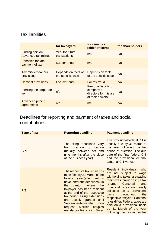## Tax liabilities

|                                             | for taxpayers                            | for directors<br>(chief officers)                                             | for shareholders |
|---------------------------------------------|------------------------------------------|-------------------------------------------------------------------------------|------------------|
| Binding opinion/<br>Advanced tax rulings    | Yes, for future<br>transactions          | n/a                                                                           | n/a              |
| <b>Penalties for late</b><br>payment of tax | 5% per annum                             | n/a                                                                           | n/a              |
| Tax misdemeanour<br>provisions              | Depends on facts of<br>the specific case | Depends on facts<br>of the specific case                                      | n/a              |
| <b>Criminal provisions</b>                  | For tax fraud                            | For tax fraud                                                                 | n/a              |
| Piercing the corporate<br>veil              | n/a                                      | Personal liability of<br>company's<br>directors for misuse<br>of their powers | n/a              |
| <b>Advanced pricing</b><br>agreements       | n/a                                      | n/a                                                                           | n/a              |

## Deadlines for reporting and payment of taxes and social contributions

| <b>Type of tax</b> | <b>Reporting deadline</b>                                                                                                                                                                                                                                                                                                                                                         | <b>Payment deadline</b>                                                                                                                                                                                                                                                                                                                                                                                             |
|--------------------|-----------------------------------------------------------------------------------------------------------------------------------------------------------------------------------------------------------------------------------------------------------------------------------------------------------------------------------------------------------------------------------|---------------------------------------------------------------------------------------------------------------------------------------------------------------------------------------------------------------------------------------------------------------------------------------------------------------------------------------------------------------------------------------------------------------------|
| <b>CPT</b>         | filing deadlines vary<br><b>The</b><br>canton<br>to<br>canton<br>from<br>(usually between six and<br>nine months after the close<br>of the business year).                                                                                                                                                                                                                        | The provisional federal CIT is<br>usually due by 31 March of<br>the year following the tax<br>period at question. The due<br>date of the final federal CIT<br>and the provisional or final<br>cantonal CIT varies.                                                                                                                                                                                                  |
| <b>PIT</b>         | The respective tax return has<br>to be filed by 31 March of the<br>following year (a few cantons<br>have different deadlines) in<br>where the<br>canton<br>the<br>taxpayer has been resident<br>at the end of the respective<br>tax period. Filing extensions<br>are usually granted until<br>September/November upon<br>request. Married couples<br>mandatory file a joint Swiss | individuals, who<br>Resident<br>are not subject to wage<br>withholding taxes, are paying<br>their taxes through filing a tax<br>Cantonal<br>and<br>return.<br>municipal taxes are usually<br>collected on a provisional<br>the<br>throughout<br>basis<br>respective tax year. Cantonal<br>rules differ. Federal taxes are<br>paid on a provisional basis<br>by 31 March of the year<br>following the respective tax |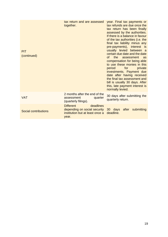| <b>PIT</b><br>(continued)   | tax return and are assessed<br>together.                                                                  | year. Final tax payments or<br>tax refunds are due once the<br>tax return has been finally<br>assessed by the authorities.<br>If there is a balance in favour<br>of the tax authorities (i.e. the<br>final tax liability minus any<br>pre-payments),<br>interest is<br>usually levied between a<br>certain due date and the date<br>of l<br>the<br>assessment<br>as<br>compensation for being able<br>to use these monies in this<br>for<br>private<br>period<br>investments. Payment due<br>date after having received<br>the final tax assessment and<br>bill is usually 30 days. After<br>this, late payment interest is<br>normally levied. |
|-----------------------------|-----------------------------------------------------------------------------------------------------------|-------------------------------------------------------------------------------------------------------------------------------------------------------------------------------------------------------------------------------------------------------------------------------------------------------------------------------------------------------------------------------------------------------------------------------------------------------------------------------------------------------------------------------------------------------------------------------------------------------------------------------------------------|
| <b>VAT</b>                  | 2 months after the end of the<br>assessment<br>quarter<br>(quarterly filings).                            | 30 days after submitting the<br>quarterly return.                                                                                                                                                                                                                                                                                                                                                                                                                                                                                                                                                                                               |
| <b>Social contributions</b> | <b>Different</b><br>deadlines<br>depending on social security<br>institution but at least once a<br>year. | 30 days after<br>submitting<br>deadline.                                                                                                                                                                                                                                                                                                                                                                                                                                                                                                                                                                                                        |
|                             |                                                                                                           |                                                                                                                                                                                                                                                                                                                                                                                                                                                                                                                                                                                                                                                 |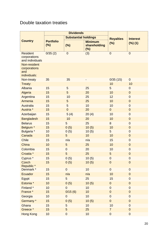## Double taxation treaties

|                                                     |                             | <b>Dividends</b> | <b>Royalties</b>                         | <b>Interest</b>  |                  |
|-----------------------------------------------------|-----------------------------|------------------|------------------------------------------|------------------|------------------|
|                                                     | <b>Substantial holdings</b> |                  |                                          |                  |                  |
| <b>Country</b>                                      | <b>Portfolio</b><br>(%)     | (%)              | <b>Minimum</b><br>shareholding<br>$(\%)$ | (%)              | (%) (1)          |
| <b>Resident</b><br>corporations<br>and individuals  | 0/35(2)                     | $\overline{0}$   | (3)                                      | $\overline{0}$   | $\overline{0}$   |
| Non-resident<br>corporations<br>and<br>individuals: |                             |                  |                                          |                  |                  |
| Non-treaty                                          | 35                          | 35               |                                          | 0/35(15)         | $\overline{0}$   |
| Treaty:                                             |                             |                  |                                          | 10               | 10               |
| Albania                                             | 15                          | 5                | 25                                       | 5                | $\mathbf 0$      |
| Algeria                                             | 15                          | 5                | 20                                       | 10               | $\mathbf 0$      |
| Argentina                                           | 15                          | 10               | 25                                       | 12               | $\mathbf 0$      |
| Armenia                                             | 15                          | 5                | 25                                       | 10               | $\mathbf 0$      |
| <b>Australia</b>                                    | 15                          | 5                | 10                                       | 10               | $\boldsymbol{0}$ |
| Austria *                                           | 15                          | $\mathbf 0$      | 20                                       | $\overline{0}$   | $\mathbf 0$      |
| Azerbaijan                                          | 15                          | 5(4)             | 20(4)                                    | 10               | $\mathbf 0$      |
| <b>Bangladesh</b>                                   | 15                          | 10               | 20                                       | 10               | $\mathbf 0$      |
| <b>Belarus</b>                                      | 15                          | 5                | 25                                       | 8                | $\boldsymbol{0}$ |
| Belgium <sup>*</sup>                                | 15                          | 0(5)             | 10(5)                                    | 10               | $\mathbf 0$      |
| Bulgaria <sup>*</sup>                               | 10                          | 0(5)             | 10(5)                                    | 5                | $\overline{0}$   |
| Canada                                              | 15                          | 5                | 10                                       | 10               | $\mathbf 0$      |
| <b>Chile</b>                                        | 15                          | n/a              | n/a                                      | 15               | $\boldsymbol{0}$ |
| China                                               | 10                          | 5                | 25                                       | 10               | $\mathbf 0$      |
| Colombia                                            | 15                          | $\mathbf 0$      | 20                                       | 10               | $\mathbf 0$      |
| Croatia *                                           | 15                          | 5                | 25                                       | 5                | $\mathbf 0$      |
| Cyprus <sup>*</sup>                                 | 15                          | 0(5)             | 10(5)                                    | $\mathbf 0$      | $\pmb{0}$        |
| <b>Czech</b><br>Republic <sup>*</sup>               | 15                          | 0(5)             | 10(5)                                    | $\boldsymbol{0}$ | $\pmb{0}$        |
| Denmark*                                            | 15                          | $\pmb{0}$        | 10                                       | $\pmb{0}$        | $\pmb{0}$        |
| Ecuador                                             | 15                          | n/a              | n/a                                      | 10               | $\pmb{0}$        |
| Egypt                                               | 15                          | 5                | 25                                       | 15               | $\boldsymbol{0}$ |
| Estonia *                                           | 10                          | 0(5)             | 10(5)                                    | $\pmb{0}$        | $\pmb{0}$        |
| Finland*                                            | 10                          | $\mathbf 0$      | 10                                       | 0                | $\pmb{0}$        |
| France *                                            | 15                          | 0/15(6)          | 10                                       | $\pmb{0}$        | $\pmb{0}$        |
| Georgia                                             | 10                          | $\mathbf 0$      | 10                                       | 0                | $\pmb{0}$        |
| Germany*                                            | 15                          | 0(5)             | 10(5)                                    | $\pmb{0}$        | $\pmb{0}$        |
| Ghana                                               | 15                          | $\mathbf 5$      | 10                                       | 10               | $\pmb{0}$        |
| Greece*                                             | 15                          | 5                | 25                                       | $\overline{7}$   | $\pmb{0}$        |
| Hong Kong                                           | 10                          | $\pmb{0}$        | 10 <sup>1</sup>                          | 0                | $\pmb{0}$        |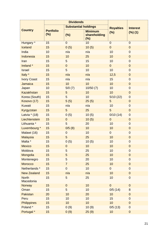|                           |                         | <b>Dividends</b>            |                                       |                  |                            |
|---------------------------|-------------------------|-----------------------------|---------------------------------------|------------------|----------------------------|
|                           |                         | <b>Substantial holdings</b> |                                       | <b>Royalties</b> | <b>Interest</b><br>(%) (1) |
| <b>Country</b>            | <b>Portfolio</b><br>(%) | (%)                         | <b>Minimum</b><br>shareholding<br>(%) | (%)              |                            |
| Hungary *                 | 15                      | $\overline{0}$              | 10                                    | $\mathbf 0$      | $\overline{0}$             |
| Iceland                   | 15                      | 0(5)                        | 10(5)                                 | $\mathbf 0$      | $\mathbf 0$                |
| India                     | 10                      | n/a                         | n/a                                   | 10               | $\pmb{0}$                  |
| Indonesia                 | 15                      | 10                          | 25                                    | 10               | $\pmb{0}$                  |
| Iran                      | 15                      | 5                           | 15                                    | 10               | $\mathbf 0$                |
| Ireland *                 | 15                      | $\mathbf 0$                 | 10                                    | $\overline{0}$   | $\boldsymbol{0}$           |
| <b>Israel</b>             | 15                      | 5                           | 10                                    | 10               | $\mathbf 0$                |
| Italy *                   | 15                      | n/a                         | n/a                                   | 12,5             | $\pmb{0}$                  |
| <b>Ivory Coast</b>        | 15                      | n/a                         | n/a                                   | 15               | $\pmb{0}$                  |
| Jamaica                   | 15                      | 10                          | 10                                    | 10               | $\boldsymbol{0}$           |
| Japan                     | 10                      | 5/0(7)                      | 10/50(7)                              | 10               | $\mathbf 0$                |
| <b>Kazakhstan</b>         | 15                      | 5                           | 10                                    | 10               | $\pmb{0}$                  |
| Korea (South)             | 15                      | 5                           | 10                                    | 5/10(22)         | $\pmb{0}$                  |
| Kosovo (17)               | 15                      | 5(5)                        | 25(5)                                 | 5                | $\boldsymbol{0}$           |
| <b>Kuwait</b>             | 15                      | n/a                         | n/a                                   | 10               | $\mathbf 0$                |
| Kyrgyzstan                | 15                      | 5                           | 25                                    | 5                | $\pmb{0}$                  |
| Latvia * (18)             | 15                      | 0(5)                        | 10(5)                                 | 0/10(14)         | $\pmb{0}$                  |
| Liechtenstein             | 15                      | $\boldsymbol{0}$            | 10(5)                                 | $\mathbf 0$      | $\boldsymbol{0}$           |
| Lithuania *               | 15                      | 5                           | 20                                    | 10               | $\boldsymbol{0}$           |
| Luxembourg <sup>*</sup>   | 15                      | 0/5(8)                      | 10                                    | 10               | $\boldsymbol{0}$           |
| Malawi (16)               | 15                      | $\mathbf 0$                 | 10                                    | $\boldsymbol{0}$ | $\pmb{0}$                  |
| <b>Malaysia</b>           | 15                      | 5                           | 25                                    | 10               | $\pmb{0}$                  |
| Malta *                   | 15                      | 0(5)                        | 10(5)                                 | 10               | $\boldsymbol{0}$           |
| <b>Mexico</b>             | 15                      | $\overline{0}$              | 10 <sub>1</sub>                       | 10               | $\boldsymbol{0}$           |
| Moldova                   | 15                      | 5                           | 25                                    | 10               | $\boldsymbol{0}$           |
| <b>Mongolia</b>           | 15                      | 5                           | 25                                    | 10               | $\pmb{0}$                  |
| Montenegro                | 15                      | 5                           | 20                                    | 10               | $\mathbf 0$                |
| <b>Morocco</b>            | 15                      | $\overline{7}$              | 25                                    | 10               | $\pmb{0}$                  |
| Netherlands*              | 15                      | $\boldsymbol{0}$            | 10                                    | $\overline{0}$   | $\pmb{0}$                  |
| <b>New Zealand</b>        | 15                      | n/a                         | n/a                                   | 10               | $\pmb{0}$                  |
| <b>North</b><br>Macedonia | 15                      | 5                           | 25                                    | 10               | $\boldsymbol{0}$           |
| <b>Norway</b>             | 15                      | $\pmb{0}$                   | 10                                    | $\mathbf 0$      | $\overline{0}$             |
| Oman                      | 15                      | 5                           | 10 <sup>1</sup>                       | 0/5(14)          | 8                          |
| Pakistan                  | 20                      | 10                          | 20                                    | 10               | $\pmb{0}$                  |
| Peru                      | 15                      | 10                          | 10 <sup>1</sup>                       | 15               | $\mathbf 0$                |
| <b>Philippines</b>        | 15                      | 10                          | 10                                    | 10               | $\pmb{0}$                  |
| Poland*                   | 15                      | 0(9)                        | 10(9)                                 | 0/5(13)          | $\pmb{0}$                  |
| Portugal *                | 15                      | 0(9)                        | 25(9)                                 | 10               | $\pmb{0}$                  |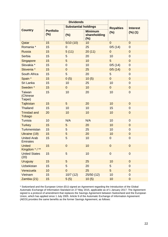|                                       | <b>Dividends</b>        |                             |                                          |                  |                 |
|---------------------------------------|-------------------------|-----------------------------|------------------------------------------|------------------|-----------------|
| <b>Country</b>                        |                         | <b>Substantial holdings</b> |                                          | <b>Royalties</b> | <b>Interest</b> |
|                                       | <b>Portfolio</b><br>(%) | (%)                         | <b>Minimum</b><br>shareholding<br>$(\%)$ | $(\%)$           | (%) (1)         |
| Qatar                                 | 15                      | 5/10(10)                    | 10                                       | $\mathbf 0$      | $\mathbf 0$     |
| Romania *                             | 15                      | $\mathbf 0$                 | 25                                       | 0/5(14)          | $\pmb{0}$       |
| <b>Russia</b>                         | 15                      | 5(11)                       | 20(11)                                   | $\overline{0}$   | $\pmb{0}$       |
| Serbia                                | 15                      | 5                           | 20                                       | 10               | $\mathbf 0$     |
| Singapore                             | 15                      | 5                           | 10                                       | 5                | $\mathbf 0$     |
| Slovakia *                            | 15                      | 0                           | 10                                       | 0/5(14)          | $\mathbf 0$     |
| Slovenia *                            | 15                      | $\pmb{0}$                   | 25                                       | 0/5(14)          | $\pmb{0}$       |
| South Africa                          | 15                      | 5                           | 20                                       | 5                | 0               |
| Spain *                               | 15                      | 0(5)                        | 10(5)                                    | $\mathbf 0$      | $\pmb{0}$       |
| Sri Lanka                             | 15                      | 10                          | 25                                       | 10               | $\mathbf 0$     |
| Sweden <sup>*</sup>                   | 15                      | $\mathbf 0$                 | 10                                       | $\mathbf 0$      | $\pmb{0}$       |
| <b>Taiwan</b><br>(Chinese<br>Taipei)  | 15                      | 10                          | 20                                       | 10               | $\pmb{0}$       |
| <b>Tajikistan</b>                     | 15                      | 5                           | 20                                       | 10               | $\pmb{0}$       |
| <b>Thailand</b>                       | 15                      | 10                          | 10                                       | 15               | 0               |
| <b>Trinidad and</b><br>Tobago         | 20                      | 10                          | 10                                       | 10               | $\pmb{0}$       |
| <b>Tunisia</b>                        | 10                      | N/A                         | N/A                                      | 10               | $\mathbf 0$     |
| <b>Turkey</b>                         | 15                      | 5                           | 20                                       | 10               | $\mathbf 0$     |
| Turkmenistan                          | 15                      | 5                           | 25                                       | 10               | $\mathbf 0$     |
| Ukraine (19)                          | 15                      | 5                           | 20                                       | 10               | $\pmb{0}$       |
| <b>United Arab</b><br><b>Emirates</b> | 15                      | 5                           | 10                                       | 0                | 0               |
| <b>United</b><br>Kingdom * / **       | 15                      | $\mathbf 0$                 | 10                                       | $\pmb{0}$        | $\mathbf 0$     |
| <b>United States</b><br>(20)          | 15                      | 5                           | 10                                       | $\boldsymbol{0}$ | $\pmb{0}$       |
| <b>Uruguay</b>                        | 15                      | 5                           | 25                                       | 10               | $\pmb{0}$       |
| <b>Uzbekistan</b>                     | 15                      | 5                           | 20                                       | 5                | $\mathbf 0$     |
| Venezuela                             | 10                      | $\mathbf 0$                 | 25                                       | 5                | $\pmb{0}$       |
| Vietnam                               | 15                      | 10/7(12)                    | 25/50 (12)                               | 10               | 0               |
| Zambia (21)                           | 15                      | 5(5)                        | 10(5)                                    | 10               | $\pmb{0}$       |

\* Switzerland and the European Union (EU) signed an Agreement regarding the Introduction of the Global Automatic Exchange of Information Standard on 27 May 2015, applicable as of 1 January 2017. The Agreement signed is a protocol of amendment that replaces the Savings Agreement between Switzerland and the European Union, which has applied since 1 July 2005. Article 9 of the Automatic Exchange of Information Agreement (AEOI) provides the same benefits as the former Savings Agreement, as follows: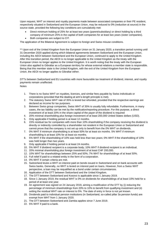Upon request, WHT on interest and royalty payments made between associated companies or their PE resident, respectively situated in Switzerland and the European Union, may be reduced to 0% (reduction at source) in the source state, provided the following key conditions are cumulatively met:

- Direct minimum holding of 25% for at least two years (parent/subsidiary) or direct holding by a third company of minimum 25% in the capital of both companies for at least two years (sister companies).
- Both companies are subject to CIT.

The application of the Bilateral Agreement is subject to foreign and Swiss misuse conditions.

\*\* Upon exit of the United Kingdom from the European Union on 31 January 2020, a transition period running until 31 December 2020 applied during which bilateral agreements between Switzerland and the European Union, including the AEOI between Switzerland and the European Union, continued to apply to the United Kingdom. After this transition period, the AEOI is no longer applicable to the United Kingdom as the treaty with the European Union no longer applies to the United Kingdom. It is worth noting that the treaty with the European Union also applied to Gibraltar as a European territory for whose external relations a member state is responsible. Being that this member state is the United Kingdom, with the exit of the United Kingdom from the European Union, the AEOI no longer applies to Gibraltar either.

DTTs between Switzerland and EU countries with more favourable tax treatment of dividend, interest, and royalty payments remain unaffected.

Notes

- 1. There is no Swiss WHT on royalties, licences, and similar fees payable by Swiss individuals or corporations (provided that the dealing at arm's-length principle is met).
- 2. The statutory Swiss WHT rate of 35% is levied but refunded, provided that the respective earnings are declared as income for tax purposes.
- 3. Between Swiss group companies, Swiss WHT of 35% is usually fully refundable. Furthermore, in many cases, the tax liability can be met by the notification/reporting procedure. For this purpose, a direct investment of at least 20% in the share capital of the payer of the dividend is required
- 4. 20% minimal shareholding plus foreign investment of at least 200,000 United States dollars (USD).
- 5. Only applicable if holding period is at least 12 months.
- 6. 15% residual tax for companies with more than 10% shareholding if the company receiving the dividend is directly or indirectly controlled by a shareholder not resident in the European Union or Switzerland and cannot prove that the company is not set up only to benefit from the 0% WHT on dividends.
- 7. 0% WHT if minimum shareholding is at least 50% for at least six months. 5% WHT if minimum shareholding is at least 10% for at least six months.
- 8. 5% WHT if the shareholding of 10% was held less than two years; 0% WHT if the shareholding of 10% was held longer than two years.
- 9. Only applicable if holding period is at least 24 months.
- 10. 5% WHT if dividend recipient is a corporate body; 10% WHT if dividend recipient is an individual.
- 11. 20% minimal shareholding plus foreign investment of at least CHF 200,000.
- 12. 10% WHT for shareholdings between 25% and 50%; 7% WHT for shareholdings of at least 50%.
- 13. Full relief if paid to a related entity in the form of a corporation.
- 14. 0% WHT if certain criteria are met.
- 15. Switzerland levies a WHT on interest paid on bonds issued in Switzerland and on bank accounts with Swiss banks. Generally, no WHT is levied on interest paid on loans. However, from a Swiss WHT perspective, a loan may be requalified as a bond under certain circumstances.
- 16. Application of the DTT between Switzerland and the United Kingdom.
- 17. The DTT between Switzerland and Kosovo is applicable since 1 January 2019.
- 18. Since 1 January 2019, the residual WHT is 0% on dividends for shareholdings of at least 10% held for a period of at least one year.
- 19. An agreement was signed on 24 January 2019, aiming a modification of the DTT by (i) reducing the percentage of minimum shareholdings from 20% to 10% to benefit from qualifying investment and (ii) setting the residual WHT rate on interest to 5%. The date of entry in force is not yet known.
- 20. Dividends paid to individual pension institutions (in Switzerland, so-called pillar 3a pension funds) are exempt from WHT from 1 January 2020.
- 21. The DTT between Switzerland and Zambia applies since 7 June 2019.
- 22. 5% WHT if paid to a bank.